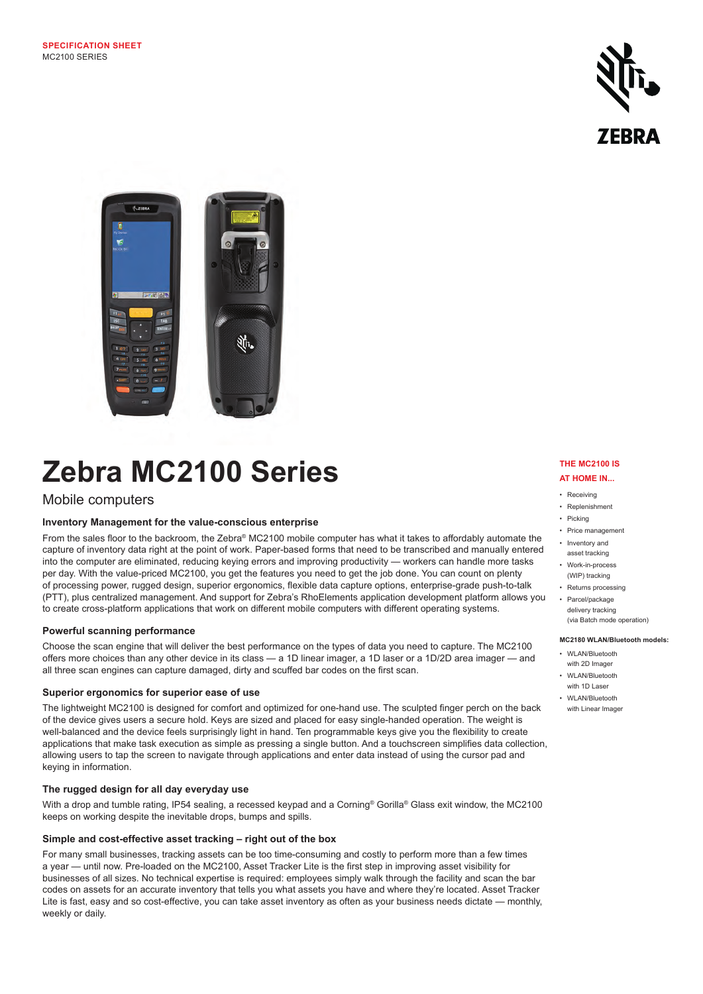



# **Zebra MC2100 Series**

# Mobile computers

# **Inventory Management for the value-conscious enterprise**

From the sales floor to the backroom, the Zebra® MC2100 mobile computer has what it takes to affordably automate the capture of inventory data right at the point of work. Paper-based forms that need to be transcribed and manually entered into the computer are eliminated, reducing keying errors and improving productivity — workers can handle more tasks per day. With the value-priced MC2100, you get the features you need to get the job done. You can count on plenty of processing power, rugged design, superior ergonomics, flexible data capture options, enterprise-grade push-to-talk (PTT), plus centralized management. And support for Zebra's RhoElements application development platform allows you to create cross-platform applications that work on different mobile computers with different operating systems.

# **Powerful scanning performance**

Choose the scan engine that will deliver the best performance on the types of data you need to capture. The MC2100 offers more choices than any other device in its class — a 1D linear imager, a 1D laser or a 1D/2D area imager — and all three scan engines can capture damaged, dirty and scuffed bar codes on the first scan.

# **Superior ergonomics for superior ease of use**

The lightweight MC2100 is designed for comfort and optimized for one-hand use. The sculpted finger perch on the back of the device gives users a secure hold. Keys are sized and placed for easy single-handed operation. The weight is well-balanced and the device feels surprisingly light in hand. Ten programmable keys give you the flexibility to create applications that make task execution as simple as pressing a single button. And a touchscreen simplifies data collection, allowing users to tap the screen to navigate through applications and enter data instead of using the cursor pad and keying in information.

## **The rugged design for all day everyday use**

With a drop and tumble rating, IP54 sealing, a recessed keypad and a Corning® Gorilla® Glass exit window, the MC2100 keeps on working despite the inevitable drops, bumps and spills.

## **Simple and cost-effective asset tracking – right out of the box**

For many small businesses, tracking assets can be too time-consuming and costly to perform more than a few times a year — until now. Pre-loaded on the MC2100, Asset Tracker Lite is the first step in improving asset visibility for businesses of all sizes. No technical expertise is required: employees simply walk through the facility and scan the bar codes on assets for an accurate inventory that tells you what assets you have and where they're located. Asset Tracker Lite is fast, easy and so cost-effective, you can take asset inventory as often as your business needs dictate — monthly, weekly or daily.

#### **THE MC2100 IS AT HOME IN...**

- Receiving
- Replenishment
- Picking
- Price management • Inventory and
- asset tracking • Work-in-process
- (WIP) tracking • Returns processing
- Parcel/package
- delivery tracking (via Batch mode operation)

# **MC2180 WLAN/Bluetooth models:**

- WLAN/Bluetooth
- with 2D Imager • WLAN/Bluetooth
- with 1D Laser • WI AN/Rluetooth
- with Linear Imager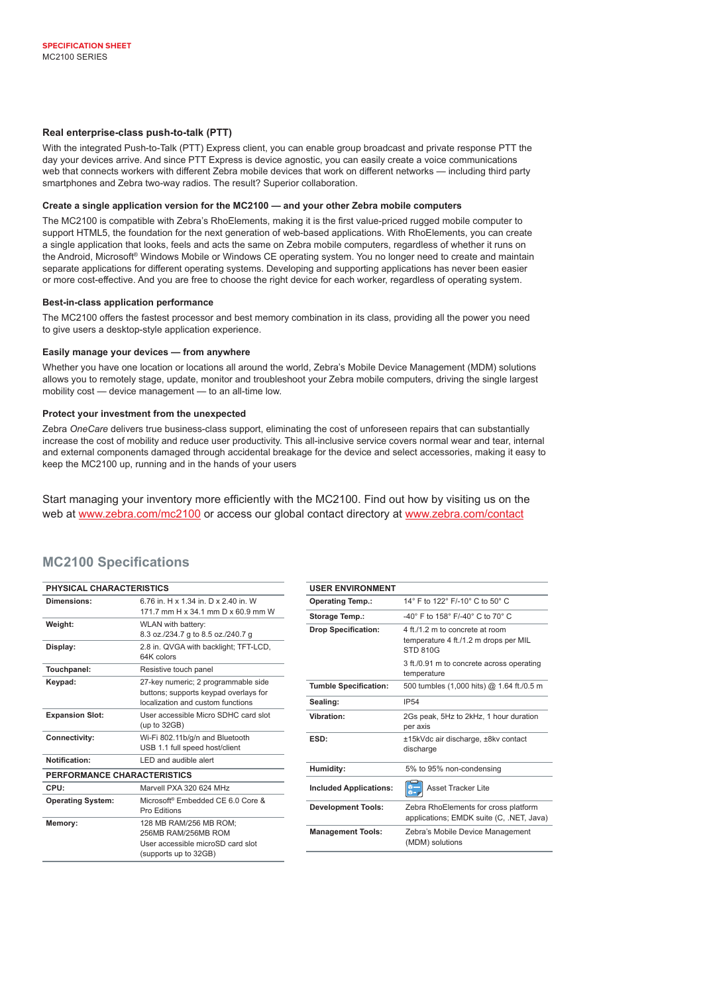## **Real enterprise-class push-to-talk (PTT)**

With the integrated Push-to-Talk (PTT) Express client, you can enable group broadcast and private response PTT the day your devices arrive. And since PTT Express is device agnostic, you can easily create a voice communications web that connects workers with different Zebra mobile devices that work on different networks — including third party smartphones and Zebra two-way radios. The result? Superior collaboration.

#### **Create a single application version for the MC2100 — and your other Zebra mobile computers**

The MC2100 is compatible with Zebra's RhoElements, making it is the first value-priced rugged mobile computer to support HTML5, the foundation for the next generation of web-based applications. With RhoElements, you can create a single application that looks, feels and acts the same on Zebra mobile computers, regardless of whether it runs on the Android, Microsoft® Windows Mobile or Windows CE operating system. You no longer need to create and maintain separate applications for different operating systems. Developing and supporting applications has never been easier or more cost-effective. And you are free to choose the right device for each worker, regardless of operating system.

#### **Best-in-class application performance**

The MC2100 offers the fastest processor and best memory combination in its class, providing all the power you need to give users a desktop-style application experience.

## **Easily manage your devices — from anywhere**

Whether you have one location or locations all around the world, Zebra's Mobile Device Management (MDM) solutions allows you to remotely stage, update, monitor and troubleshoot your Zebra mobile computers, driving the single largest mobility cost — device management — to an all-time low.

#### **Protect your investment from the unexpected**

Zebra *OneCare* delivers true business-class support, eliminating the cost of unforeseen repairs that can substantially increase the cost of mobility and reduce user productivity. This all-inclusive service covers normal wear and tear, internal and external components damaged through accidental breakage for the device and select accessories, making it easy to keep the MC2100 up, running and in the hands of your users

Start managing your inventory more efficiently with the MC2100. Find out how by visiting us on the web at www.zebra.com/mc2100 or access our global contact directory at www.zebra.com/contact

# **MC2100 Specifications**

| PHYSICAL CHARACTERISTICS    |                                                                                                                   |
|-----------------------------|-------------------------------------------------------------------------------------------------------------------|
| Dimensions:                 | 6.76 in H x 1.34 in D x 2.40 in W<br>171.7 mm H x 34.1 mm D x 60.9 mm W                                           |
| Weight:                     | WLAN with battery:<br>8.3 oz./234.7 g to 8.5 oz./240.7 g                                                          |
| Display:                    | 2.8 in. QVGA with backlight; TFT-LCD,<br>64K colors                                                               |
| Touchpanel:                 | Resistive touch panel                                                                                             |
| Keypad:                     | 27-key numeric; 2 programmable side<br>buttons; supports keypad overlays for<br>localization and custom functions |
| <b>Expansion Slot:</b>      | User accessible Micro SDHC card slot<br>(up to $32GB$ )                                                           |
| Connectivity:               | Wi-Fi 802.11b/g/n and Bluetooth<br>USB 1.1 full speed host/client                                                 |
| Notification:               | I FD and audible alert                                                                                            |
| PERFORMANCE CHARACTERISTICS |                                                                                                                   |
| CPU:                        | Marvell PXA 320 624 MHz                                                                                           |
| <b>Operating System:</b>    | Microsoft <sup>®</sup> Embedded CE 6.0 Core &<br>Pro Editions                                                     |
| Memory:                     | 128 MB RAM/256 MB ROM:<br>256MB RAM/256MB ROM<br>User accessible microSD card slot<br>(supports up to 32GB)       |

| <b>USER ENVIRONMENT</b>       |                                                                                      |
|-------------------------------|--------------------------------------------------------------------------------------|
| <b>Operating Temp.:</b>       | 14° F to 122° F/-10° C to 50° C                                                      |
| Storage Temp.:                | $-40^{\circ}$ F to 158° F/-40° C to 70° C                                            |
| <b>Drop Specification:</b>    | 4 ft./1.2 m to concrete at room<br>temperature 4 ft./1.2 m drops per MIL<br>STD 810G |
|                               | 3 ft./0.91 m to concrete across operating<br>temperature                             |
| <b>Tumble Specification:</b>  | 500 tumbles (1,000 hits) @ 1.64 ft./0.5 m                                            |
| Sealing:                      | <b>IP54</b>                                                                          |
| Vibration:                    | 2Gs peak, 5Hz to 2kHz, 1 hour duration<br>per axis                                   |
| <b>ESD:</b>                   | ±15kVdc air discharge, ±8kv contact<br>discharge                                     |
| Humidity:                     | 5% to 95% non-condensing                                                             |
| <b>Included Applications:</b> | <b>Asset Tracker Lite</b>                                                            |
| <b>Development Tools:</b>     | Zebra RhoElements for cross platform<br>applications; EMDK suite (C, .NET, Java)     |
| <b>Management Tools:</b>      | Zebra's Mobile Device Management<br>(MDM) solutions                                  |